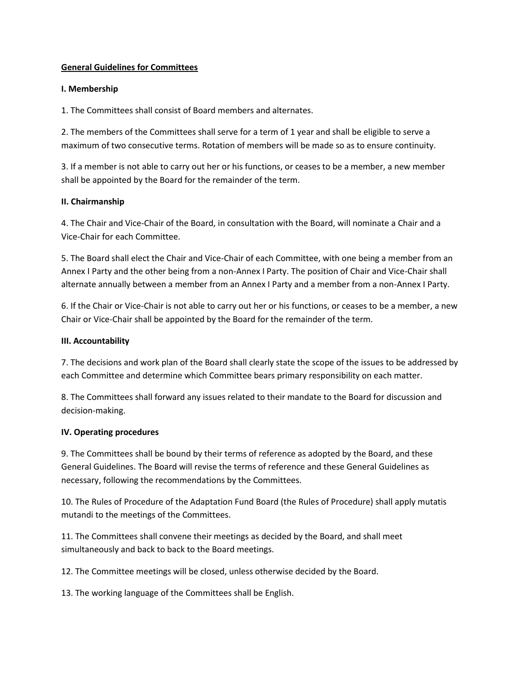### **General Guidelines for Committees**

### **I. Membership**

1. The Committees shall consist of Board members and alternates.

2. The members of the Committees shall serve for a term of 1 year and shall be eligible to serve a maximum of two consecutive terms. Rotation of members will be made so as to ensure continuity.

3. If a member is not able to carry out her or his functions, or ceases to be a member, a new member shall be appointed by the Board for the remainder of the term.

### **II. Chairmanship**

4. The Chair and Vice-Chair of the Board, in consultation with the Board, will nominate a Chair and a Vice-Chair for each Committee.

5. The Board shall elect the Chair and Vice-Chair of each Committee, with one being a member from an Annex I Party and the other being from a non-Annex I Party. The position of Chair and Vice-Chair shall alternate annually between a member from an Annex I Party and a member from a non-Annex I Party.

6. If the Chair or Vice-Chair is not able to carry out her or his functions, or ceases to be a member, a new Chair or Vice-Chair shall be appointed by the Board for the remainder of the term.

### **III. Accountability**

7. The decisions and work plan of the Board shall clearly state the scope of the issues to be addressed by each Committee and determine which Committee bears primary responsibility on each matter.

8. The Committees shall forward any issues related to their mandate to the Board for discussion and decision-making.

#### **IV. Operating procedures**

9. The Committees shall be bound by their terms of reference as adopted by the Board, and these General Guidelines. The Board will revise the terms of reference and these General Guidelines as necessary, following the recommendations by the Committees.

10. The Rules of Procedure of the Adaptation Fund Board (the Rules of Procedure) shall apply mutatis mutandi to the meetings of the Committees.

11. The Committees shall convene their meetings as decided by the Board, and shall meet simultaneously and back to back to the Board meetings.

12. The Committee meetings will be closed, unless otherwise decided by the Board.

13. The working language of the Committees shall be English.